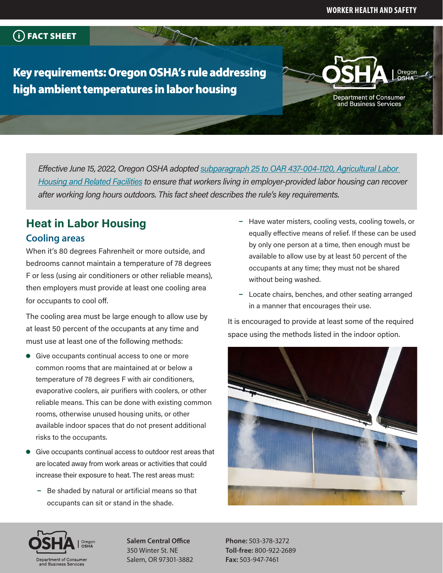**Department of Consumer** and Business Services

### FACT SHEET

Key requirements: Oregon OSHA's rule addressing high ambient temperatures in labor housing

> *Effective June 15, 2022, Oregon OSHA adopted [subparagraph 25 to OAR 437-004-1120, Agricultural Labor](https://osha.oregon.gov/OSHARules/adopted/2022/ao3-2022-text-alh-heat.pdf#heatlaborhousing)  [Housing and Related Facilities](https://osha.oregon.gov/OSHARules/adopted/2022/ao3-2022-text-alh-heat.pdf#heatlaborhousing) to ensure that workers living in employer-provided labor housing can recover after working long hours outdoors. This fact sheet describes the rule's key requirements.*

# **Heat in Labor Housing Cooling areas**

When it's 80 degrees Fahrenheit or more outside, and bedrooms cannot maintain a temperature of 78 degrees F or less (using air conditioners or other reliable means), then employers must provide at least one cooling area for occupants to cool off.

The cooling area must be large enough to allow use by at least 50 percent of the occupants at any time and must use at least one of the following methods:

- $\bullet$  Give occupants continual access to one or more common rooms that are maintained at or below a temperature of 78 degrees F with air conditioners, evaporative coolers, air purifiers with coolers, or other reliable means. This can be done with existing common rooms, otherwise unused housing units, or other available indoor spaces that do not present additional risks to the occupants.
- Give occupants continual access to outdoor rest areas that are located away from work areas or activities that could increase their exposure to heat. The rest areas must:
	- $-$  Be shaded by natural or artificial means so that occupants can sit or stand in the shade.
- Have water misters, cooling vests, cooling towels, or equally effective means of relief. If these can be used by only one person at a time, then enough must be available to allow use by at least 50 percent of the occupants at any time; they must not be shared without being washed.
- Locate chairs, benches, and other seating arranged in a manner that encourages their use.

It is encouraged to provide at least some of the required space using the methods listed in the indoor option.





**Salem Central Office** 350 Winter St. NE Salem, OR 97301-3882

**Phone:** 503-378-3272 **Toll-free:** 800-922-2689 **Fax:** 503-947-7461